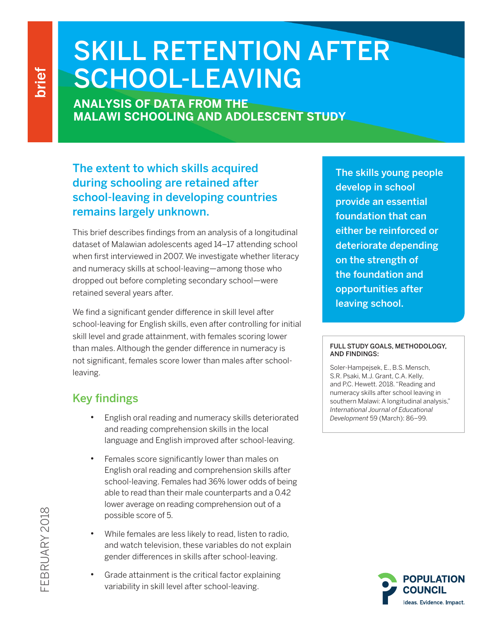# SKILL RETENTION AFTER SCHOOL-LEAVING

**ANALYSIS OF DATA FROM THE MALAWI SCHOOLING AND ADOLESCENT STUDY**

### The extent to which skills acquired during schooling are retained after school-leaving in developing countries remains largely unknown.

This brief describes findings from an analysis of a longitudinal dataset of Malawian adolescents aged 14–17 attending school when first interviewed in 2007. We investigate whether literacy and numeracy skills at school-leaving—among those who dropped out before completing secondary school—were retained several years after.

We find a significant gender difference in skill level after school-leaving for English skills, even after controlling for initial skill level and grade attainment, with females scoring lower than males. Although the gender difference in numeracy is not significant, females score lower than males after schoolleaving.

## Key findings

- English oral reading and numeracy skills deteriorated and reading comprehension skills in the local language and English improved after school-leaving.
- Females score significantly lower than males on English oral reading and comprehension skills after school-leaving. Females had 36% lower odds of being able to read than their male counterparts and a 0.42 lower average on reading comprehension out of a possible score of 5.
- While females are less likely to read, listen to radio, and watch television, these variables do not explain gender differences in skills after school-leaving.
- Grade attainment is the critical factor explaining variability in skill level after school-leaving.

The skills young people develop in school provide an essential foundation that can either be reinforced or deteriorate depending on the strength of the foundation and opportunities after leaving school.

#### FULL STUDY GOALS, METHODOLOGY, AND FINDINGS:

Soler-Hampejsek, E., B.S. Mensch, S.R. Psaki, M.J. Grant, C.A. Kelly, and P.C. Hewett. 2018. "Reading and numeracy skills after school leaving in southern Malawi: A longitudinal analysis," *International Journal of Educational Development* 59 (March): 86–99.



brief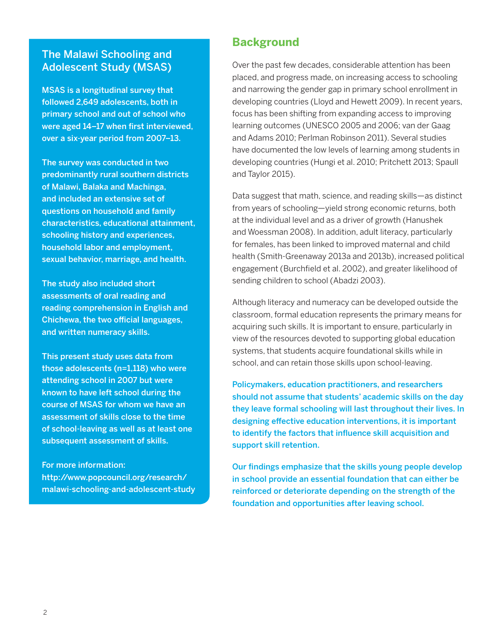### The Malawi Schooling and Adolescent Study (MSAS)

MSAS is a longitudinal survey that followed 2,649 adolescents, both in primary school and out of school who were aged 14–17 when first interviewed, over a six-year period from 2007–13.

The survey was conducted in two predominantly rural southern districts of Malawi, Balaka and Machinga, and included an extensive set of questions on household and family characteristics, educational attainment, schooling history and experiences, household labor and employment, sexual behavior, marriage, and health.

The study also included short assessments of oral reading and reading comprehension in English and Chichewa, the two official languages, and written numeracy skills.

This present study uses data from those adolescents (n=1,118) who were attending school in 2007 but were known to have left school during the course of MSAS for whom we have an assessment of skills close to the time of school-leaving as well as at least one subsequent assessment of skills.

For more information: http://www.popcouncil.org/research/ malawi-schooling-and-adolescent-study

### **Background**

Over the past few decades, considerable attention has been placed, and progress made, on increasing access to schooling and narrowing the gender gap in primary school enrollment in developing countries (Lloyd and Hewett 2009). In recent years, focus has been shifting from expanding access to improving learning outcomes (UNESCO 2005 and 2006; van der Gaag and Adams 2010; Perlman Robinson 2011). Several studies have documented the low levels of learning among students in developing countries (Hungi et al. 2010; Pritchett 2013; Spaull and Taylor 2015).

Data suggest that math, science, and reading skills—as distinct from years of schooling—yield strong economic returns, both at the individual level and as a driver of growth (Hanushek and Woessman 2008). In addition, adult literacy, particularly for females, has been linked to improved maternal and child health (Smith-Greenaway 2013a and 2013b), increased political engagement (Burchfield et al. 2002), and greater likelihood of sending children to school (Abadzi 2003).

Although literacy and numeracy can be developed outside the classroom, formal education represents the primary means for acquiring such skills. It is important to ensure, particularly in view of the resources devoted to supporting global education systems, that students acquire foundational skills while in school, and can retain those skills upon school-leaving.

Policymakers, education practitioners, and researchers should not assume that students' academic skills on the day they leave formal schooling will last throughout their lives. In designing effective education interventions, it is important to identify the factors that influence skill acquisition and support skill retention.

Our findings emphasize that the skills young people develop in school provide an essential foundation that can either be reinforced or deteriorate depending on the strength of the foundation and opportunities after leaving school.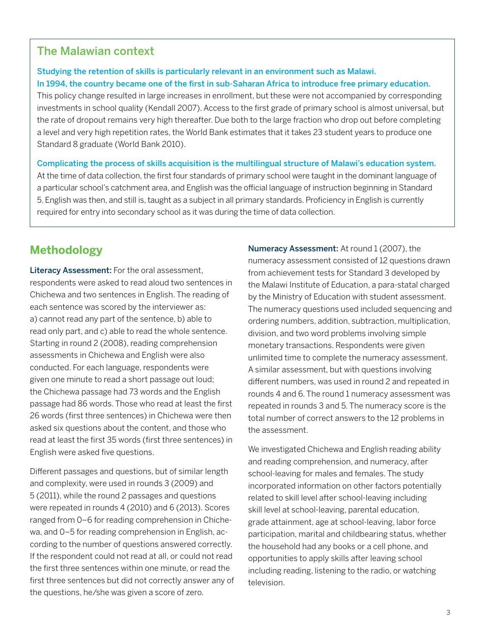### The Malawian context

Studying the retention of skills is particularly relevant in an environment such as Malawi. In 1994, the country became one of the first in sub-Saharan Africa to introduce free primary education.

This policy change resulted in large increases in enrollment, but these were not accompanied by corresponding investments in school quality (Kendall 2007). Access to the first grade of primary school is almost universal, but the rate of dropout remains very high thereafter. Due both to the large fraction who drop out before completing a level and very high repetition rates, the World Bank estimates that it takes 23 student years to produce one Standard 8 graduate (World Bank 2010).

Complicating the process of skills acquisition is the multilingual structure of Malawi's education system. At the time of data collection, the first four standards of primary school were taught in the dominant language of a particular school's catchment area, and English was the official language of instruction beginning in Standard 5. English was then, and still is, taught as a subject in all primary standards. Proficiency in English is currently required for entry into secondary school as it was during the time of data collection.

### **Methodology**

Literacy Assessment: For the oral assessment, respondents were asked to read aloud two sentences in Chichewa and two sentences in English. The reading of each sentence was scored by the interviewer as: a) cannot read any part of the sentence, b) able to read only part, and c) able to read the whole sentence. Starting in round 2 (2008), reading comprehension assessments in Chichewa and English were also conducted. For each language, respondents were given one minute to read a short passage out loud; the Chichewa passage had 73 words and the English passage had 86 words. Those who read at least the first 26 words (first three sentences) in Chichewa were then asked six questions about the content, and those who read at least the first 35 words (first three sentences) in English were asked five questions.

Different passages and questions, but of similar length and complexity, were used in rounds 3 (2009) and 5 (2011), while the round 2 passages and questions were repeated in rounds 4 (2010) and 6 (2013). Scores ranged from 0–6 for reading comprehension in Chichewa, and 0–5 for reading comprehension in English, according to the number of questions answered correctly. If the respondent could not read at all, or could not read the first three sentences within one minute, or read the first three sentences but did not correctly answer any of the questions, he/she was given a score of zero.

Numeracy Assessment: At round 1 (2007), the numeracy assessment consisted of 12 questions drawn from achievement tests for Standard 3 developed by the Malawi Institute of Education, a para-statal charged by the Ministry of Education with student assessment. The numeracy questions used included sequencing and ordering numbers, addition, subtraction, multiplication, division, and two word problems involving simple monetary transactions. Respondents were given unlimited time to complete the numeracy assessment. A similar assessment, but with questions involving different numbers, was used in round 2 and repeated in rounds 4 and 6. The round 1 numeracy assessment was repeated in rounds 3 and 5. The numeracy score is the total number of correct answers to the 12 problems in the assessment.

We investigated Chichewa and English reading ability and reading comprehension, and numeracy, after school-leaving for males and females. The study incorporated information on other factors potentially related to skill level after school-leaving including skill level at school-leaving, parental education, grade attainment, age at school-leaving, labor force participation, marital and childbearing status, whether the household had any books or a cell phone, and opportunities to apply skills after leaving school including reading, listening to the radio, or watching television.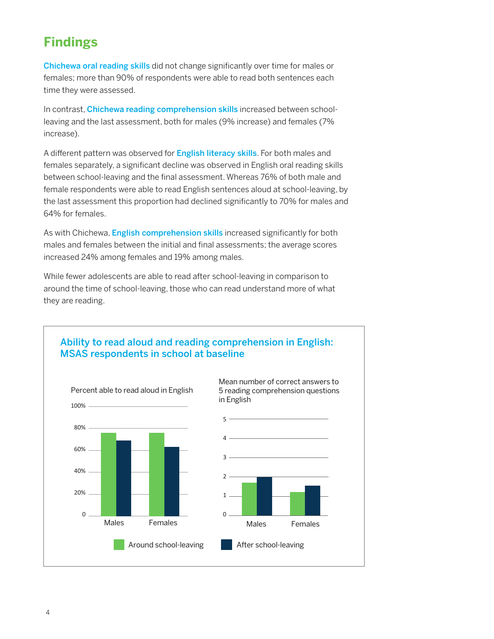# **Findings**

Chichewa oral reading skills did not change significantly over time for males or females; more than 90% of respondents were able to read both sentences each time they were assessed.

In contrast, Chichewa reading comprehension skills increased between schoolleaving and the last assessment, both for males (9% increase) and females (7% increase).

A different pattern was observed for **English literacy skills**. For both males and females separately, a significant decline was observed in English oral reading skills between school-leaving and the final assessment. Whereas 76% of both male and female respondents were able to read English sentences aloud at school-leaving, by 12 the last assessment this proportion had declined significantly to 70% for males and 12 64% for females.

As with Chichewa, <mark>English comprehension skills</mark> increased significantly for both males and females between the initial and final assessments; the average scores increased 24% among females and 19% among males. 6 6

While fewer adolescents are able to read after school-leaving in comparison to 4 4 around the time of school-leaving, those who can read understand more of what 2 they are reading.

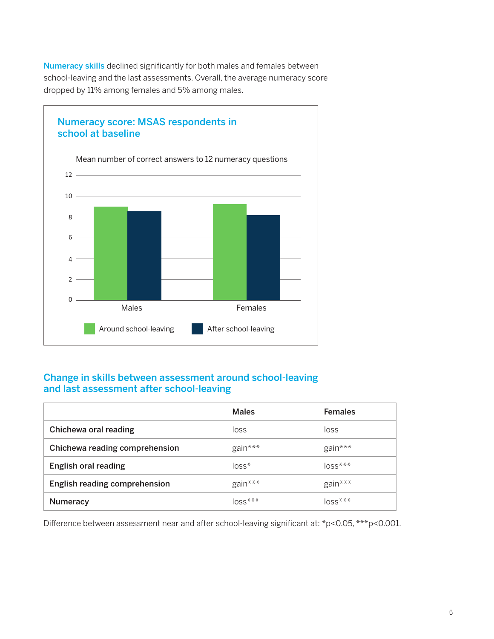Numeracy skills declined significantly for both males and females between school-leaving and the last assessments. Overall, the average numeracy score dropped by 11% among females and 5% among males.



#### and last assessment after school-leaving Change in skills between assessment around school-leaving 5 reading comprehension questions in English

|                                | <b>Males</b> | <b>Females</b> |
|--------------------------------|--------------|----------------|
| Chichewa oral reading          | loss         | loss           |
| Chichewa reading comprehension | gain***      | gain***        |
| English oral reading           | $loss*$      | $loss***$      |
| English reading comprehension  | gain***      | gain***        |
| <b>Numeracy</b>                | $loss***$    | $loss***$      |

en assessment near and after school-leaving significant at:  $\text{*p}$ < $\leq$ Difference between assessment near and after school-leaving significant at: \*p<0.05, \*\*\*p<0.001.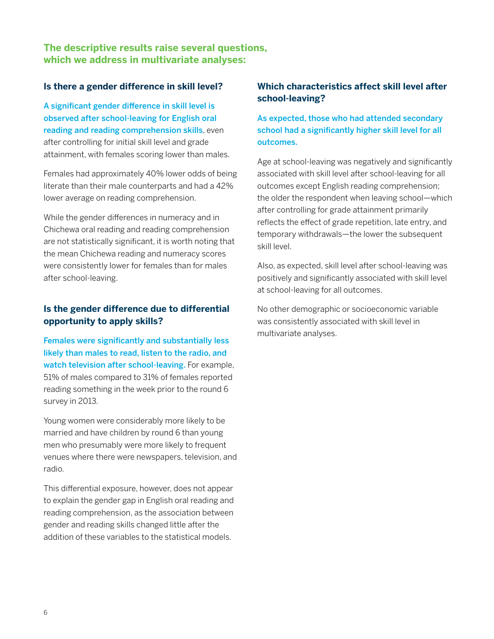**The descriptive results raise several questions, which we address in multivariate analyses:**

### **Is there a gender difference in skill level?**

A significant gender difference in skill level is observed after school-leaving for English oral reading and reading comprehension skills, even after controlling for initial skill level and grade attainment, with females scoring lower than males.

Females had approximately 40% lower odds of being literate than their male counterparts and had a 42% lower average on reading comprehension.

While the gender differences in numeracy and in Chichewa oral reading and reading comprehension are not statistically significant, it is worth noting that the mean Chichewa reading and numeracy scores were consistently lower for females than for males after school-leaving.

### **Is the gender difference due to differential opportunity to apply skills?**

Females were significantly and substantially less likely than males to read, listen to the radio, and watch television after school-leaving. For example, 51% of males compared to 31% of females reported reading something in the week prior to the round 6 survey in 2013.

Young women were considerably more likely to be married and have children by round 6 than young men who presumably were more likely to frequent venues where there were newspapers, television, and radio.

This differential exposure, however, does not appear to explain the gender gap in English oral reading and reading comprehension, as the association between gender and reading skills changed little after the addition of these variables to the statistical models.

### **Which characteristics affect skill level after school-leaving?**

As expected, those who had attended secondary school had a significantly higher skill level for all outcomes.

Age at school-leaving was negatively and significantly associated with skill level after school-leaving for all outcomes except English reading comprehension; the older the respondent when leaving school—which after controlling for grade attainment primarily reflects the effect of grade repetition, late entry, and temporary withdrawals—the lower the subsequent skill level.

Also, as expected, skill level after school-leaving was positively and significantly associated with skill level at school-leaving for all outcomes.

No other demographic or socioeconomic variable was consistently associated with skill level in multivariate analyses.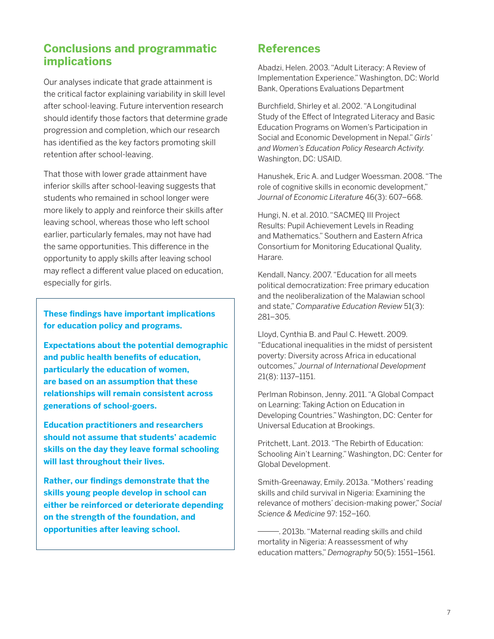### **Conclusions and programmatic implications**

Our analyses indicate that grade attainment is the critical factor explaining variability in skill level after school-leaving. Future intervention research should identify those factors that determine grade progression and completion, which our research has identified as the key factors promoting skill retention after school-leaving.

That those with lower grade attainment have inferior skills after school-leaving suggests that students who remained in school longer were more likely to apply and reinforce their skills after leaving school, whereas those who left school earlier, particularly females, may not have had the same opportunities. This difference in the opportunity to apply skills after leaving school may reflect a different value placed on education, especially for girls.

**These findings have important implications for education policy and programs.** 

**Expectations about the potential demographic and public health benefits of education, particularly the education of women, are based on an assumption that these relationships will remain consistent across generations of school-goers.** 

**Education practitioners and researchers should not assume that students' academic skills on the day they leave formal schooling will last throughout their lives.** 

**Rather, our findings demonstrate that the skills young people develop in school can either be reinforced or deteriorate depending on the strength of the foundation, and opportunities after leaving school.**

### **References**

Abadzi, Helen. 2003. "Adult Literacy: A Review of Implementation Experience." Washington, DC: World Bank, Operations Evaluations Department

Burchfield, Shirley et al. 2002. "A Longitudinal Study of the Effect of Integrated Literacy and Basic Education Programs on Women's Participation in Social and Economic Development in Nepal." *Girls' and Women's Education Policy Research Activity.*  Washington, DC: USAID.

Hanushek, Eric A. and Ludger Woessman. 2008. "The role of cognitive skills in economic development," *Journal of Economic Literature* 46(3): 607–668.

Hungi, N. et al. 2010. "SACMEQ III Project Results: Pupil Achievement Levels in Reading and Mathematics." Southern and Eastern Africa Consortium for Monitoring Educational Quality, Harare.

Kendall, Nancy. 2007. "Education for all meets political democratization: Free primary education and the neoliberalization of the Malawian school and state," *Comparative Education Review* 51(3): 281–305.

Lloyd, Cynthia B. and Paul C. Hewett. 2009. "Educational inequalities in the midst of persistent poverty: Diversity across Africa in educational outcomes," *Journal of International Development*  21(8): 1137–1151.

Perlman Robinson, Jenny. 2011. "A Global Compact on Learning: Taking Action on Education in Developing Countries." Washington, DC: Center for Universal Education at Brookings.

Pritchett, Lant. 2013. "The Rebirth of Education: Schooling Ain't Learning." Washington, DC: Center for Global Development.

Smith-Greenaway, Emily. 2013a. "Mothers' reading skills and child survival in Nigeria: Examining the relevance of mothers' decision-making power," *Social Science & Medicine* 97: 152–160.

. 2013b. "Maternal reading skills and child mortality in Nigeria: A reassessment of why education matters," *Demography* 50(5): 1551–1561.